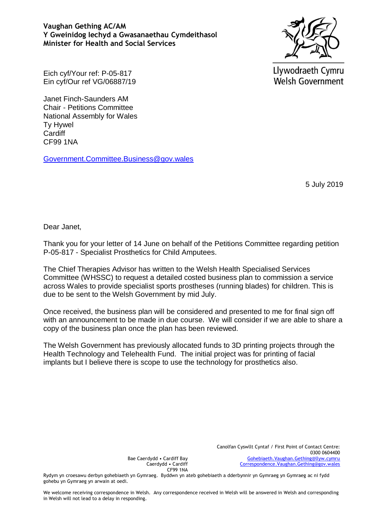**Vaughan Gething AC/AM Y Gweinidog Iechyd a Gwasanaethau Cymdeithasol Minister for Health and Social Services**



Llywodraeth Cymru **Welsh Government** 

Eich cyf/Your ref: P-05-817 Ein cyf/Our ref VG/06887/19

Janet Finch-Saunders AM Chair - Petitions Committee National Assembly for Wales Ty Hywel **Cardiff** CF99 1NA

[Government.Committee.Business@gov.wales](mailto:Government.Committee.Business@gov.wales)

5 July 2019

Dear Janet,

Thank you for your letter of 14 June on behalf of the Petitions Committee regarding petition P-05-817 - Specialist Prosthetics for Child Amputees.

The Chief Therapies Advisor has written to the Welsh Health Specialised Services Committee (WHSSC) to request a detailed costed business plan to commission a service across Wales to provide specialist sports prostheses (running blades) for children. This is due to be sent to the Welsh Government by mid July.

Once received, the business plan will be considered and presented to me for final sign off with an announcement to be made in due course. We will consider if we are able to share a copy of the business plan once the plan has been reviewed.

The Welsh Government has previously allocated funds to 3D printing projects through the Health Technology and Telehealth Fund. The initial project was for printing of facial implants but I believe there is scope to use the technology for prosthetics also.

Bae Caerdydd • Cardiff Bay Caerdydd • Cardiff CF99 1NA

Rydym yn croesawu derbyn gohebiaeth yn Gymraeg. Byddwn yn ateb gohebiaeth a dderbynnir yn Gymraeg yn Gymraeg ac ni fydd gohebu yn Gymraeg yn arwain at oedi.

We welcome receiving correspondence in Welsh. Any correspondence received in Welsh will be answered in Welsh and corresponding in Welsh will not lead to a delay in responding.